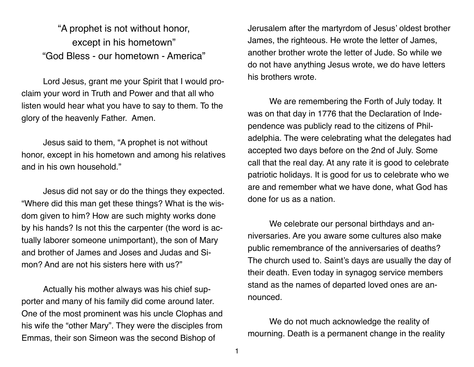"A prophet is not without honor, except in his hometown" "God Bless - our hometown - America"

Lord Jesus, grant me your Spirit that I would proclaim your word in Truth and Power and that all who listen would hear what you have to say to them. To the glory of the heavenly Father. Amen.

Jesus said to them, "A prophet is not without honor, except in his hometown and among his relatives and in his own household."

Jesus did not say or do the things they expected. "Where did this man get these things? What is the wisdom given to him? How are such mighty works done by his hands? Is not this the carpenter (the word is actually laborer someone unimportant), the son of Mary and brother of James and Joses and Judas and Simon? And are not his sisters here with us?"

Actually his mother always was his chief supporter and many of his family did come around later. One of the most prominent was his uncle Clophas and his wife the "other Mary". They were the disciples from Emmas, their son Simeon was the second Bishop of

Jerusalem after the martyrdom of Jesus' oldest brother James, the righteous. He wrote the letter of James, another brother wrote the letter of Jude. So while we do not have anything Jesus wrote, we do have letters his brothers wrote.

We are remembering the Forth of July today. It was on that day in 1776 that the Declaration of Independence was publicly read to the citizens of Philadelphia. The were celebrating what the delegates had accepted two days before on the 2nd of July. Some call that the real day. At any rate it is good to celebrate patriotic holidays. It is good for us to celebrate who we are and remember what we have done, what God has done for us as a nation.

We celebrate our personal birthdays and anniversaries. Are you aware some cultures also make public remembrance of the anniversaries of deaths? The church used to. Saint's days are usually the day of their death. Even today in synagog service members stand as the names of departed loved ones are announced.

We do not much acknowledge the reality of mourning. Death is a permanent change in the reality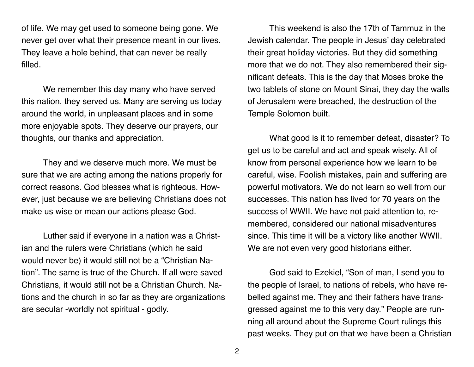of life. We may get used to someone being gone. We never get over what their presence meant in our lives. They leave a hole behind, that can never be really filled.

We remember this day many who have served this nation, they served us. Many are serving us today around the world, in unpleasant places and in some more enjoyable spots. They deserve our prayers, our thoughts, our thanks and appreciation.

They and we deserve much more. We must be sure that we are acting among the nations properly for correct reasons. God blesses what is righteous. However, just because we are believing Christians does not make us wise or mean our actions please God.

Luther said if everyone in a nation was a Christian and the rulers were Christians (which he said would never be) it would still not be a "Christian Nation". The same is true of the Church. If all were saved Christians, it would still not be a Christian Church. Nations and the church in so far as they are organizations are secular -worldly not spiritual - godly.

This weekend is also the 17th of Tammuz in the Jewish calendar. The people in Jesus' day celebrated their great holiday victories. But they did something more that we do not. They also remembered their significant defeats. This is the day that Moses broke the two tablets of stone on Mount Sinai, they day the walls of Jerusalem were breached, the destruction of the Temple Solomon built.

What good is it to remember defeat, disaster? To get us to be careful and act and speak wisely. All of know from personal experience how we learn to be careful, wise. Foolish mistakes, pain and suffering are powerful motivators. We do not learn so well from our successes. This nation has lived for 70 years on the success of WWII. We have not paid attention to, remembered, considered our national misadventures since. This time it will be a victory like another WWII. We are not even very good historians either.

God said to Ezekiel, "Son of man, I send you to the people of Israel, to nations of rebels, who have rebelled against me. They and their fathers have transgressed against me to this very day." People are running all around about the Supreme Court rulings this past weeks. They put on that we have been a Christian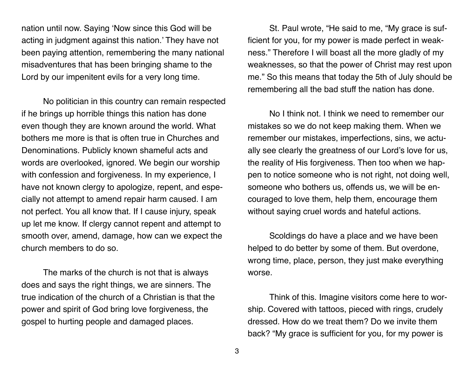nation until now. Saying 'Now since this God will be acting in judgment against this nation.' They have not been paying attention, remembering the many national misadventures that has been bringing shame to the Lord by our impenitent evils for a very long time.

No politician in this country can remain respected if he brings up horrible things this nation has done even though they are known around the world. What bothers me more is that is often true in Churches and Denominations. Publicly known shameful acts and words are overlooked, ignored. We begin our worship with confession and forgiveness. In my experience, I have not known clergy to apologize, repent, and especially not attempt to amend repair harm caused. I am not perfect. You all know that. If I cause injury, speak up let me know. If clergy cannot repent and attempt to smooth over, amend, damage, how can we expect the church members to do so.

The marks of the church is not that is always does and says the right things, we are sinners. The true indication of the church of a Christian is that the power and spirit of God bring love forgiveness, the gospel to hurting people and damaged places.

St. Paul wrote, "He said to me, "My grace is sufficient for you, for my power is made perfect in weakness." Therefore I will boast all the more gladly of my weaknesses, so that the power of Christ may rest upon me." So this means that today the 5th of July should be remembering all the bad stuff the nation has done.

No I think not. I think we need to remember our mistakes so we do not keep making them. When we remember our mistakes, imperfections, sins, we actually see clearly the greatness of our Lord's love for us, the reality of His forgiveness. Then too when we happen to notice someone who is not right, not doing well, someone who bothers us, offends us, we will be encouraged to love them, help them, encourage them without saying cruel words and hateful actions.

Scoldings do have a place and we have been helped to do better by some of them. But overdone, wrong time, place, person, they just make everything worse.

Think of this. Imagine visitors come here to worship. Covered with tattoos, pieced with rings, crudely dressed. How do we treat them? Do we invite them back? "My grace is sufficient for you, for my power is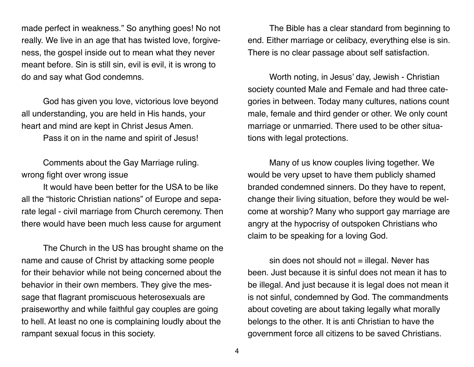made perfect in weakness." So anything goes! No not really. We live in an age that has twisted love, forgiveness, the gospel inside out to mean what they never meant before. Sin is still sin, evil is evil, it is wrong to do and say what God condemns.

God has given you love, victorious love beyond all understanding, you are held in His hands, your heart and mind are kept in Christ Jesus Amen.

Pass it on in the name and spirit of Jesus!

Comments about the Gay Marriage ruling. wrong fight over wrong issue

It would have been better for the USA to be like all the "historic Christian nations" of Europe and separate legal - civil marriage from Church ceremony. Then there would have been much less cause for argument

The Church in the US has brought shame on the name and cause of Christ by attacking some people for their behavior while not being concerned about the behavior in their own members. They give the message that flagrant promiscuous heterosexuals are praiseworthy and while faithful gay couples are going to hell. At least no one is complaining loudly about the rampant sexual focus in this society.

The Bible has a clear standard from beginning to end. Either marriage or celibacy, everything else is sin. There is no clear passage about self satisfaction.

Worth noting, in Jesus' day, Jewish - Christian society counted Male and Female and had three categories in between. Today many cultures, nations count male, female and third gender or other. We only count marriage or unmarried. There used to be other situations with legal protections.

Many of us know couples living together. We would be very upset to have them publicly shamed branded condemned sinners. Do they have to repent, change their living situation, before they would be welcome at worship? Many who support gay marriage are angry at the hypocrisy of outspoken Christians who claim to be speaking for a loving God.

 $sin$  does not should not  $=$  illegal. Never has been. Just because it is sinful does not mean it has to be illegal. And just because it is legal does not mean it is not sinful, condemned by God. The commandments about coveting are about taking legally what morally belongs to the other. It is anti Christian to have the government force all citizens to be saved Christians.